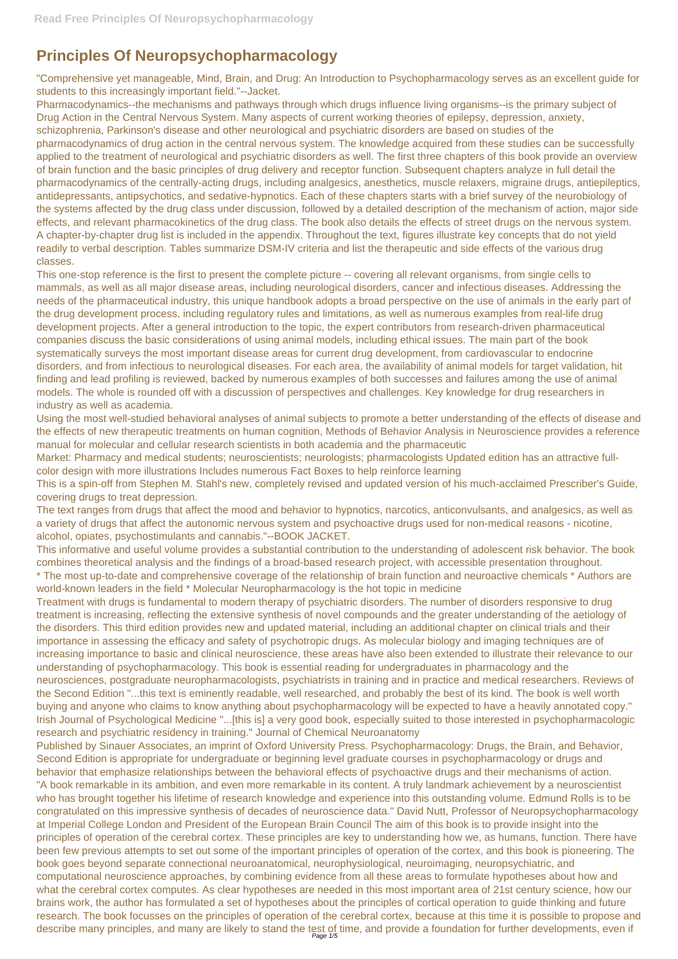## **Principles Of Neuropsychopharmacology**

"Comprehensive yet manageable, Mind, Brain, and Drug: An Introduction to Psychopharmacology serves as an excellent guide for students to this increasingly important field."--Jacket.

Pharmacodynamics--the mechanisms and pathways through which drugs influence living organisms--is the primary subject of Drug Action in the Central Nervous System. Many aspects of current working theories of epilepsy, depression, anxiety, schizophrenia, Parkinson's disease and other neurological and psychiatric disorders are based on studies of the pharmacodynamics of drug action in the central nervous system. The knowledge acquired from these studies can be successfully applied to the treatment of neurological and psychiatric disorders as well. The first three chapters of this book provide an overview of brain function and the basic principles of drug delivery and receptor function. Subsequent chapters analyze in full detail the pharmacodynamics of the centrally-acting drugs, including analgesics, anesthetics, muscle relaxers, migraine drugs, antiepileptics, antidepressants, antipsychotics, and sedative-hypnotics. Each of these chapters starts with a brief survey of the neurobiology of the systems affected by the drug class under discussion, followed by a detailed description of the mechanism of action, major side effects, and relevant pharmacokinetics of the drug class. The book also details the effects of street drugs on the nervous system. A chapter-by-chapter drug list is included in the appendix. Throughout the text, figures illustrate key concepts that do not yield readily to verbal description. Tables summarize DSM-IV criteria and list the therapeutic and side effects of the various drug classes.

Treatment with drugs is fundamental to modern therapy of psychiatric disorders. The number of disorders responsive to drug treatment is increasing, reflecting the extensive synthesis of novel compounds and the greater understanding of the aetiology of the disorders. This third edition provides new and updated material, including an additional chapter on clinical trials and their importance in assessing the efficacy and safety of psychotropic drugs. As molecular biology and imaging techniques are of increasing importance to basic and clinical neuroscience, these areas have also been extended to illustrate their relevance to our understanding of psychopharmacology. This book is essential reading for undergraduates in pharmacology and the neurosciences, postgraduate neuropharmacologists, psychiatrists in training and in practice and medical researchers. Reviews of the Second Edition "...this text is eminently readable, well researched, and probably the best of its kind. The book is well worth buying and anyone who claims to know anything about psychopharmacology will be expected to have a heavily annotated copy." Irish Journal of Psychological Medicine "...[this is] a very good book, especially suited to those interested in psychopharmacologic research and psychiatric residency in training." Journal of Chemical Neuroanatomy Published by Sinauer Associates, an imprint of Oxford University Press. Psychopharmacology: Drugs, the Brain, and Behavior, Second Edition is appropriate for undergraduate or beginning level graduate courses in psychopharmacology or drugs and behavior that emphasize relationships between the behavioral effects of psychoactive drugs and their mechanisms of action. "A book remarkable in its ambition, and even more remarkable in its content. A truly landmark achievement by a neuroscientist who has brought together his lifetime of research knowledge and experience into this outstanding volume. Edmund Rolls is to be congratulated on this impressive synthesis of decades of neuroscience data." David Nutt, Professor of Neuropsychopharmacology at Imperial College London and President of the European Brain Council The aim of this book is to provide insight into the principles of operation of the cerebral cortex. These principles are key to understanding how we, as humans, function. There have been few previous attempts to set out some of the important principles of operation of the cortex, and this book is pioneering. The book goes beyond separate connectional neuroanatomical, neurophysiological, neuroimaging, neuropsychiatric, and computational neuroscience approaches, by combining evidence from all these areas to formulate hypotheses about how and what the cerebral cortex computes. As clear hypotheses are needed in this most important area of 21st century science, how our brains work, the author has formulated a set of hypotheses about the principles of cortical operation to guide thinking and future research. The book focusses on the principles of operation of the cerebral cortex, because at this time it is possible to propose and describe many principles, and many are likely to stand the test of time, and provide a foundation for further developments, even if

This one-stop reference is the first to present the complete picture -- covering all relevant organisms, from single cells to mammals, as well as all major disease areas, including neurological disorders, cancer and infectious diseases. Addressing the needs of the pharmaceutical industry, this unique handbook adopts a broad perspective on the use of animals in the early part of the drug development process, including regulatory rules and limitations, as well as numerous examples from real-life drug development projects. After a general introduction to the topic, the expert contributors from research-driven pharmaceutical companies discuss the basic considerations of using animal models, including ethical issues. The main part of the book systematically surveys the most important disease areas for current drug development, from cardiovascular to endocrine disorders, and from infectious to neurological diseases. For each area, the availability of animal models for target validation, hit finding and lead profiling is reviewed, backed by numerous examples of both successes and failures among the use of animal models. The whole is rounded off with a discussion of perspectives and challenges. Key knowledge for drug researchers in industry as well as academia.

Using the most well-studied behavioral analyses of animal subjects to promote a better understanding of the effects of disease and the effects of new therapeutic treatments on human cognition, Methods of Behavior Analysis in Neuroscience provides a reference manual for molecular and cellular research scientists in both academia and the pharmaceutic

Market: Pharmacy and medical students; neuroscientists; neurologists; pharmacologists Updated edition has an attractive fullcolor design with more illustrations Includes numerous Fact Boxes to help reinforce learning

This is a spin-off from Stephen M. Stahl's new, completely revised and updated version of his much-acclaimed Prescriber's Guide, covering drugs to treat depression.

The text ranges from drugs that affect the mood and behavior to hypnotics, narcotics, anticonvulsants, and analgesics, as well as a variety of drugs that affect the autonomic nervous system and psychoactive drugs used for non-medical reasons - nicotine, alcohol, opiates, psychostimulants and cannabis."--BOOK JACKET.

This informative and useful volume provides a substantial contribution to the understanding of adolescent risk behavior. The book combines theoretical analysis and the findings of a broad-based research project, with accessible presentation throughout.

\* The most up-to-date and comprehensive coverage of the relationship of brain function and neuroactive chemicals \* Authors are world-known leaders in the field \* Molecular Neuropharmacology is the hot topic in medicine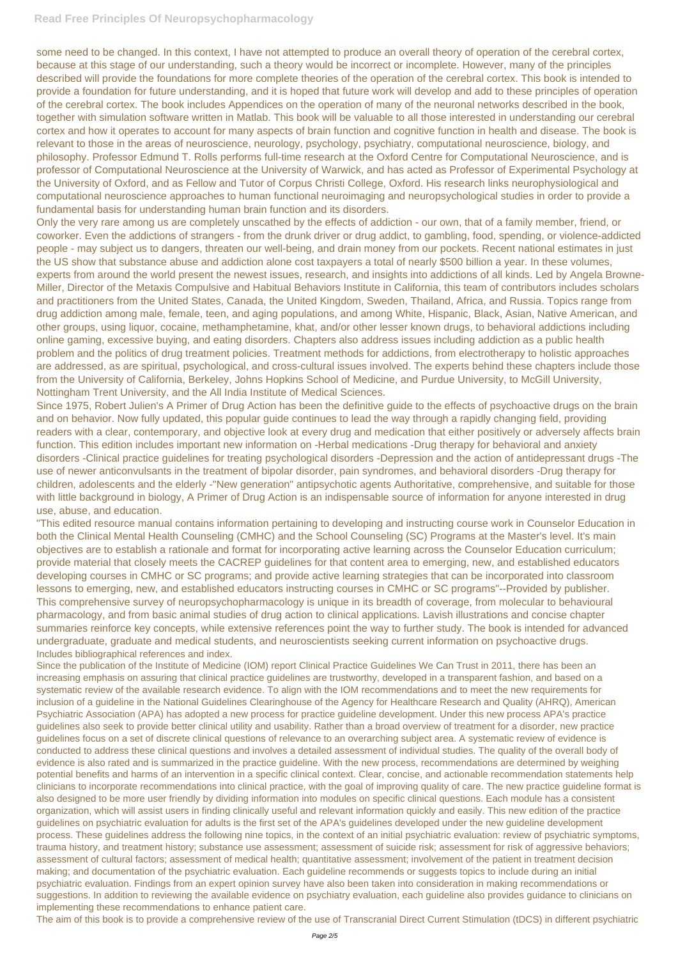## **Read Free Principles Of Neuropsychopharmacology**

some need to be changed. In this context, I have not attempted to produce an overall theory of operation of the cerebral cortex, because at this stage of our understanding, such a theory would be incorrect or incomplete. However, many of the principles described will provide the foundations for more complete theories of the operation of the cerebral cortex. This book is intended to provide a foundation for future understanding, and it is hoped that future work will develop and add to these principles of operation of the cerebral cortex. The book includes Appendices on the operation of many of the neuronal networks described in the book, together with simulation software written in Matlab. This book will be valuable to all those interested in understanding our cerebral cortex and how it operates to account for many aspects of brain function and cognitive function in health and disease. The book is relevant to those in the areas of neuroscience, neurology, psychology, psychiatry, computational neuroscience, biology, and philosophy. Professor Edmund T. Rolls performs full-time research at the Oxford Centre for Computational Neuroscience, and is professor of Computational Neuroscience at the University of Warwick, and has acted as Professor of Experimental Psychology at the University of Oxford, and as Fellow and Tutor of Corpus Christi College, Oxford. His research links neurophysiological and computational neuroscience approaches to human functional neuroimaging and neuropsychological studies in order to provide a fundamental basis for understanding human brain function and its disorders.

Only the very rare among us are completely unscathed by the effects of addiction - our own, that of a family member, friend, or coworker. Even the addictions of strangers - from the drunk driver or drug addict, to gambling, food, spending, or violence-addicted people - may subject us to dangers, threaten our well-being, and drain money from our pockets. Recent national estimates in just the US show that substance abuse and addiction alone cost taxpayers a total of nearly \$500 billion a year. In these volumes, experts from around the world present the newest issues, research, and insights into addictions of all kinds. Led by Angela Browne-Miller, Director of the Metaxis Compulsive and Habitual Behaviors Institute in California, this team of contributors includes scholars and practitioners from the United States, Canada, the United Kingdom, Sweden, Thailand, Africa, and Russia. Topics range from drug addiction among male, female, teen, and aging populations, and among White, Hispanic, Black, Asian, Native American, and other groups, using liquor, cocaine, methamphetamine, khat, and/or other lesser known drugs, to behavioral addictions including online gaming, excessive buying, and eating disorders. Chapters also address issues including addiction as a public health problem and the politics of drug treatment policies. Treatment methods for addictions, from electrotherapy to holistic approaches are addressed, as are spiritual, psychological, and cross-cultural issues involved. The experts behind these chapters include those from the University of California, Berkeley, Johns Hopkins School of Medicine, and Purdue University, to McGill University, Nottingham Trent University, and the All India Institute of Medical Sciences.

Since 1975, Robert Julien's A Primer of Drug Action has been the definitive guide to the effects of psychoactive drugs on the brain and on behavior. Now fully updated, this popular guide continues to lead the way through a rapidly changing field, providing readers with a clear, contemporary, and objective look at every drug and medication that either positively or adversely affects brain function. This edition includes important new information on -Herbal medications -Drug therapy for behavioral and anxiety disorders -Clinical practice guidelines for treating psychological disorders -Depression and the action of antidepressant drugs -The use of newer anticonvulsants in the treatment of bipolar disorder, pain syndromes, and behavioral disorders -Drug therapy for children, adolescents and the elderly -"New generation" antipsychotic agents Authoritative, comprehensive, and suitable for those with little background in biology, A Primer of Drug Action is an indispensable source of information for anyone interested in drug use, abuse, and education.

"This edited resource manual contains information pertaining to developing and instructing course work in Counselor Education in both the Clinical Mental Health Counseling (CMHC) and the School Counseling (SC) Programs at the Master's level. It's main objectives are to establish a rationale and format for incorporating active learning across the Counselor Education curriculum; provide material that closely meets the CACREP guidelines for that content area to emerging, new, and established educators developing courses in CMHC or SC programs; and provide active learning strategies that can be incorporated into classroom lessons to emerging, new, and established educators instructing courses in CMHC or SC programs"--Provided by publisher. This comprehensive survey of neuropsychopharmacology is unique in its breadth of coverage, from molecular to behavioural pharmacology, and from basic animal studies of drug action to clinical applications. Lavish illustrations and concise chapter summaries reinforce key concepts, while extensive references point the way to further study. The book is intended for advanced undergraduate, graduate and medical students, and neuroscientists seeking current information on psychoactive drugs. Includes bibliographical references and index.

Since the publication of the Institute of Medicine (IOM) report Clinical Practice Guidelines We Can Trust in 2011, there has been an increasing emphasis on assuring that clinical practice guidelines are trustworthy, developed in a transparent fashion, and based on a systematic review of the available research evidence. To align with the IOM recommendations and to meet the new requirements for inclusion of a guideline in the National Guidelines Clearinghouse of the Agency for Healthcare Research and Quality (AHRQ), American Psychiatric Association (APA) has adopted a new process for practice guideline development. Under this new process APA's practice guidelines also seek to provide better clinical utility and usability. Rather than a broad overview of treatment for a disorder, new practice guidelines focus on a set of discrete clinical questions of relevance to an overarching subject area. A systematic review of evidence is conducted to address these clinical questions and involves a detailed assessment of individual studies. The quality of the overall body of evidence is also rated and is summarized in the practice guideline. With the new process, recommendations are determined by weighing potential benefits and harms of an intervention in a specific clinical context. Clear, concise, and actionable recommendation statements help clinicians to incorporate recommendations into clinical practice, with the goal of improving quality of care. The new practice guideline format is also designed to be more user friendly by dividing information into modules on specific clinical questions. Each module has a consistent organization, which will assist users in finding clinically useful and relevant information quickly and easily. This new edition of the practice guidelines on psychiatric evaluation for adults is the first set of the APA's guidelines developed under the new guideline development process. These guidelines address the following nine topics, in the context of an initial psychiatric evaluation: review of psychiatric symptoms, trauma history, and treatment history; substance use assessment; assessment of suicide risk; assessment for risk of aggressive behaviors; assessment of cultural factors; assessment of medical health; quantitative assessment; involvement of the patient in treatment decision making; and documentation of the psychiatric evaluation. Each guideline recommends or suggests topics to include during an initial psychiatric evaluation. Findings from an expert opinion survey have also been taken into consideration in making recommendations or suggestions. In addition to reviewing the available evidence on psychiatry evaluation, each guideline also provides guidance to clinicians on implementing these recommendations to enhance patient care. The aim of this book is to provide a comprehensive review of the use of Transcranial Direct Current Stimulation (tDCS) in different psychiatric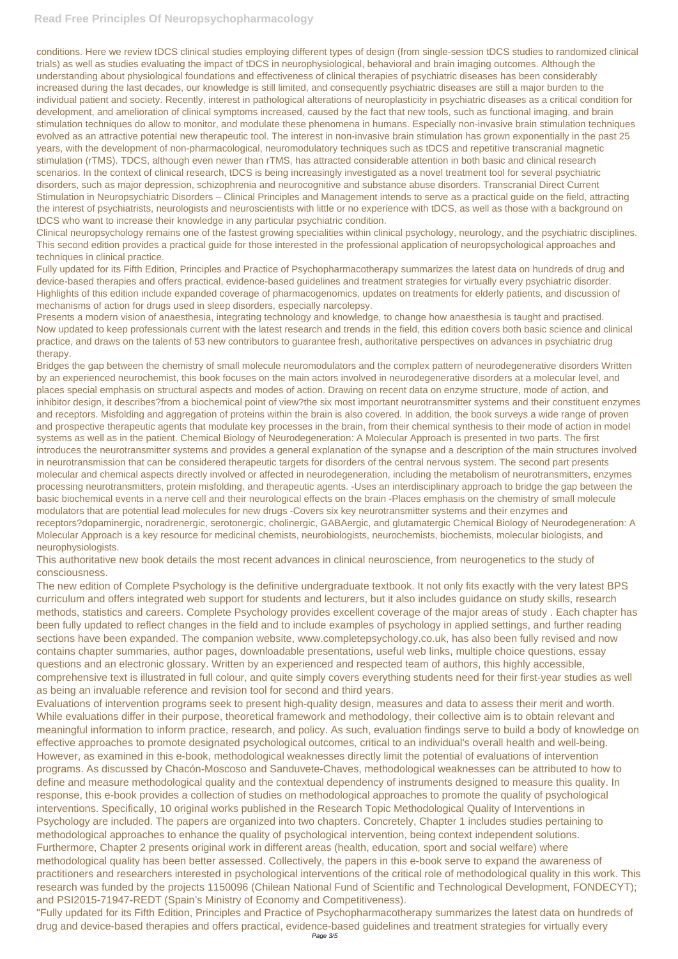## **Read Free Principles Of Neuropsychopharmacology**

conditions. Here we review tDCS clinical studies employing different types of design (from single-session tDCS studies to randomized clinical trials) as well as studies evaluating the impact of tDCS in neurophysiological, behavioral and brain imaging outcomes. Although the understanding about physiological foundations and effectiveness of clinical therapies of psychiatric diseases has been considerably increased during the last decades, our knowledge is still limited, and consequently psychiatric diseases are still a major burden to the individual patient and society. Recently, interest in pathological alterations of neuroplasticity in psychiatric diseases as a critical condition for development, and amelioration of clinical symptoms increased, caused by the fact that new tools, such as functional imaging, and brain stimulation techniques do allow to monitor, and modulate these phenomena in humans. Especially non-invasive brain stimulation techniques evolved as an attractive potential new therapeutic tool. The interest in non-invasive brain stimulation has grown exponentially in the past 25 years, with the development of non-pharmacological, neuromodulatory techniques such as tDCS and repetitive transcranial magnetic stimulation (rTMS). TDCS, although even newer than rTMS, has attracted considerable attention in both basic and clinical research scenarios. In the context of clinical research, tDCS is being increasingly investigated as a novel treatment tool for several psychiatric disorders, such as major depression, schizophrenia and neurocognitive and substance abuse disorders. Transcranial Direct Current Stimulation in Neuropsychiatric Disorders – Clinical Principles and Management intends to serve as a practical guide on the field, attracting the interest of psychiatrists, neurologists and neuroscientists with little or no experience with tDCS, as well as those with a background on tDCS who want to increase their knowledge in any particular psychiatric condition.

Clinical neuropsychology remains one of the fastest growing specialities within clinical psychology, neurology, and the psychiatric disciplines. This second edition provides a practical guide for those interested in the professional application of neuropsychological approaches and techniques in clinical practice.

Fully updated for its Fifth Edition, Principles and Practice of Psychopharmacotherapy summarizes the latest data on hundreds of drug and device-based therapies and offers practical, evidence-based guidelines and treatment strategies for virtually every psychiatric disorder. Highlights of this edition include expanded coverage of pharmacogenomics, updates on treatments for elderly patients, and discussion of mechanisms of action for drugs used in sleep disorders, especially narcolepsy.

Presents a modern vision of anaesthesia, integrating technology and knowledge, to change how anaesthesia is taught and practised. Now updated to keep professionals current with the latest research and trends in the field, this edition covers both basic science and clinical practice, and draws on the talents of 53 new contributors to guarantee fresh, authoritative perspectives on advances in psychiatric drug therapy.

Bridges the gap between the chemistry of small molecule neuromodulators and the complex pattern of neurodegenerative disorders Written by an experienced neurochemist, this book focuses on the main actors involved in neurodegenerative disorders at a molecular level, and places special emphasis on structural aspects and modes of action. Drawing on recent data on enzyme structure, mode of action, and inhibitor design, it describes?from a biochemical point of view?the six most important neurotransmitter systems and their constituent enzymes and receptors. Misfolding and aggregation of proteins within the brain is also covered. In addition, the book surveys a wide range of proven and prospective therapeutic agents that modulate key processes in the brain, from their chemical synthesis to their mode of action in model systems as well as in the patient. Chemical Biology of Neurodegeneration: A Molecular Approach is presented in two parts. The first introduces the neurotransmitter systems and provides a general explanation of the synapse and a description of the main structures involved in neurotransmission that can be considered therapeutic targets for disorders of the central nervous system. The second part presents molecular and chemical aspects directly involved or affected in neurodegeneration, including the metabolism of neurotransmitters, enzymes processing neurotransmitters, protein misfolding, and therapeutic agents. -Uses an interdisciplinary approach to bridge the gap between the basic biochemical events in a nerve cell and their neurological effects on the brain -Places emphasis on the chemistry of small molecule modulators that are potential lead molecules for new drugs -Covers six key neurotransmitter systems and their enzymes and receptors?dopaminergic, noradrenergic, serotonergic, cholinergic, GABAergic, and glutamatergic Chemical Biology of Neurodegeneration: A Molecular Approach is a key resource for medicinal chemists, neurobiologists, neurochemists, biochemists, molecular biologists, and neurophysiologists.

This authoritative new book details the most recent advances in clinical neuroscience, from neurogenetics to the study of consciousness.

The new edition of Complete Psychology is the definitive undergraduate textbook. It not only fits exactly with the very latest BPS curriculum and offers integrated web support for students and lecturers, but it also includes guidance on study skills, research methods, statistics and careers. Complete Psychology provides excellent coverage of the major areas of study . Each chapter has been fully updated to reflect changes in the field and to include examples of psychology in applied settings, and further reading sections have been expanded. The companion website, www.completepsychology.co.uk, has also been fully revised and now contains chapter summaries, author pages, downloadable presentations, useful web links, multiple choice questions, essay questions and an electronic glossary. Written by an experienced and respected team of authors, this highly accessible, comprehensive text is illustrated in full colour, and quite simply covers everything students need for their first-year studies as well as being an invaluable reference and revision tool for second and third years.

Evaluations of intervention programs seek to present high-quality design, measures and data to assess their merit and worth. While evaluations differ in their purpose, theoretical framework and methodology, their collective aim is to obtain relevant and meaningful information to inform practice, research, and policy. As such, evaluation findings serve to build a body of knowledge on effective approaches to promote designated psychological outcomes, critical to an individual's overall health and well-being. However, as examined in this e-book, methodological weaknesses directly limit the potential of evaluations of intervention programs. As discussed by Chacón-Moscoso and Sanduvete-Chaves, methodological weaknesses can be attributed to how to define and measure methodological quality and the contextual dependency of instruments designed to measure this quality. In response, this e-book provides a collection of studies on methodological approaches to promote the quality of psychological interventions. Specifically, 10 original works published in the Research Topic Methodological Quality of Interventions in Psychology are included. The papers are organized into two chapters. Concretely, Chapter 1 includes studies pertaining to methodological approaches to enhance the quality of psychological intervention, being context independent solutions. Furthermore, Chapter 2 presents original work in different areas (health, education, sport and social welfare) where methodological quality has been better assessed. Collectively, the papers in this e-book serve to expand the awareness of practitioners and researchers interested in psychological interventions of the critical role of methodological quality in this work. This research was funded by the projects 1150096 (Chilean National Fund of Scientific and Technological Development, FONDECYT); and PSI2015-71947-REDT (Spain's Ministry of Economy and Competitiveness). "Fully updated for its Fifth Edition, Principles and Practice of Psychopharmacotherapy summarizes the latest data on hundreds of drug and device-based therapies and offers practical, evidence-based guidelines and treatment strategies for virtually every Page 3/5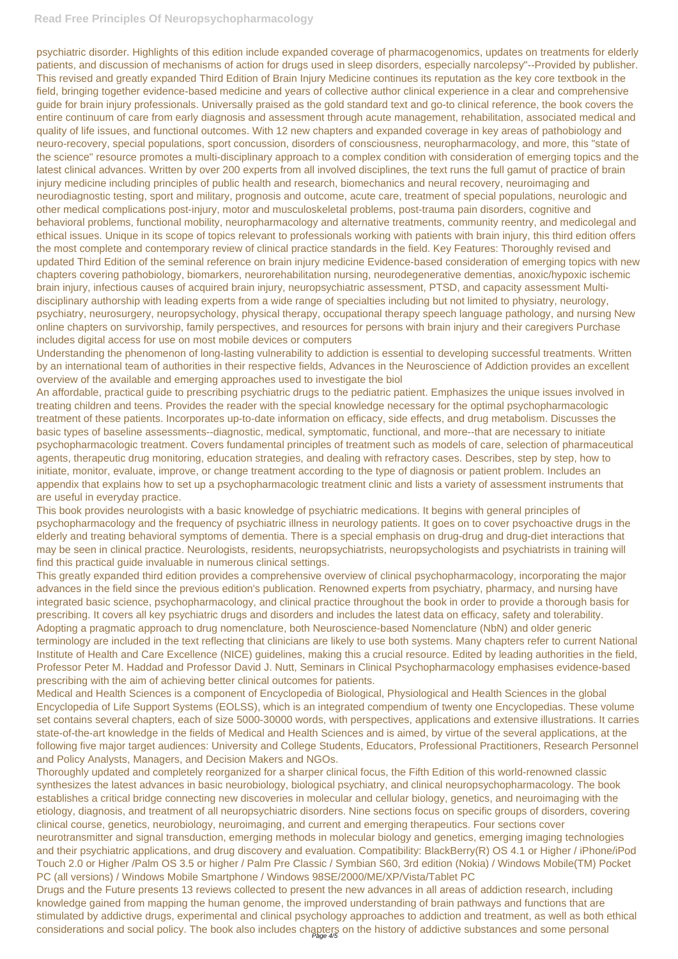## **Read Free Principles Of Neuropsychopharmacology**

psychiatric disorder. Highlights of this edition include expanded coverage of pharmacogenomics, updates on treatments for elderly patients, and discussion of mechanisms of action for drugs used in sleep disorders, especially narcolepsy"--Provided by publisher. This revised and greatly expanded Third Edition of Brain Injury Medicine continues its reputation as the key core textbook in the field, bringing together evidence-based medicine and years of collective author clinical experience in a clear and comprehensive guide for brain injury professionals. Universally praised as the gold standard text and go-to clinical reference, the book covers the entire continuum of care from early diagnosis and assessment through acute management, rehabilitation, associated medical and quality of life issues, and functional outcomes. With 12 new chapters and expanded coverage in key areas of pathobiology and neuro-recovery, special populations, sport concussion, disorders of consciousness, neuropharmacology, and more, this "state of the science" resource promotes a multi-disciplinary approach to a complex condition with consideration of emerging topics and the latest clinical advances. Written by over 200 experts from all involved disciplines, the text runs the full gamut of practice of brain injury medicine including principles of public health and research, biomechanics and neural recovery, neuroimaging and neurodiagnostic testing, sport and military, prognosis and outcome, acute care, treatment of special populations, neurologic and other medical complications post-injury, motor and musculoskeletal problems, post-trauma pain disorders, cognitive and behavioral problems, functional mobility, neuropharmacology and alternative treatments, community reentry, and medicolegal and ethical issues. Unique in its scope of topics relevant to professionals working with patients with brain injury, this third edition offers the most complete and contemporary review of clinical practice standards in the field. Key Features: Thoroughly revised and updated Third Edition of the seminal reference on brain injury medicine Evidence-based consideration of emerging topics with new chapters covering pathobiology, biomarkers, neurorehabilitation nursing, neurodegenerative dementias, anoxic/hypoxic ischemic brain injury, infectious causes of acquired brain injury, neuropsychiatric assessment, PTSD, and capacity assessment Multidisciplinary authorship with leading experts from a wide range of specialties including but not limited to physiatry, neurology, psychiatry, neurosurgery, neuropsychology, physical therapy, occupational therapy speech language pathology, and nursing New online chapters on survivorship, family perspectives, and resources for persons with brain injury and their caregivers Purchase includes digital access for use on most mobile devices or computers

Understanding the phenomenon of long-lasting vulnerability to addiction is essential to developing successful treatments. Written by an international team of authorities in their respective fields, Advances in the Neuroscience of Addiction provides an excellent overview of the available and emerging approaches used to investigate the biol

An affordable, practical guide to prescribing psychiatric drugs to the pediatric patient. Emphasizes the unique issues involved in treating children and teens. Provides the reader with the special knowledge necessary for the optimal psychopharmacologic treatment of these patients. Incorporates up-to-date information on efficacy, side effects, and drug metabolism. Discusses the basic types of baseline assessments--diagnostic, medical, symptomatic, functional, and more--that are necessary to initiate psychopharmacologic treatment. Covers fundamental principles of treatment such as models of care, selection of pharmaceutical agents, therapeutic drug monitoring, education strategies, and dealing with refractory cases. Describes, step by step, how to initiate, monitor, evaluate, improve, or change treatment according to the type of diagnosis or patient problem. Includes an appendix that explains how to set up a psychopharmacologic treatment clinic and lists a variety of assessment instruments that are useful in everyday practice.

This book provides neurologists with a basic knowledge of psychiatric medications. It begins with general principles of psychopharmacology and the frequency of psychiatric illness in neurology patients. It goes on to cover psychoactive drugs in the elderly and treating behavioral symptoms of dementia. There is a special emphasis on drug-drug and drug-diet interactions that may be seen in clinical practice. Neurologists, residents, neuropsychiatrists, neuropsychologists and psychiatrists in training will find this practical guide invaluable in numerous clinical settings.

This greatly expanded third edition provides a comprehensive overview of clinical psychopharmacology, incorporating the major advances in the field since the previous edition's publication. Renowned experts from psychiatry, pharmacy, and nursing have integrated basic science, psychopharmacology, and clinical practice throughout the book in order to provide a thorough basis for prescribing. It covers all key psychiatric drugs and disorders and includes the latest data on efficacy, safety and tolerability. Adopting a pragmatic approach to drug nomenclature, both Neuroscience-based Nomenclature (NbN) and older generic terminology are included in the text reflecting that clinicians are likely to use both systems. Many chapters refer to current National Institute of Health and Care Excellence (NICE) guidelines, making this a crucial resource. Edited by leading authorities in the field, Professor Peter M. Haddad and Professor David J. Nutt, Seminars in Clinical Psychopharmacology emphasises evidence-based prescribing with the aim of achieving better clinical outcomes for patients.

Medical and Health Sciences is a component of Encyclopedia of Biological, Physiological and Health Sciences in the global Encyclopedia of Life Support Systems (EOLSS), which is an integrated compendium of twenty one Encyclopedias. These volume set contains several chapters, each of size 5000-30000 words, with perspectives, applications and extensive illustrations. It carries

state-of-the-art knowledge in the fields of Medical and Health Sciences and is aimed, by virtue of the several applications, at the following five major target audiences: University and College Students, Educators, Professional Practitioners, Research Personnel and Policy Analysts, Managers, and Decision Makers and NGOs.

Thoroughly updated and completely reorganized for a sharper clinical focus, the Fifth Edition of this world-renowned classic synthesizes the latest advances in basic neurobiology, biological psychiatry, and clinical neuropsychopharmacology. The book establishes a critical bridge connecting new discoveries in molecular and cellular biology, genetics, and neuroimaging with the etiology, diagnosis, and treatment of all neuropsychiatric disorders. Nine sections focus on specific groups of disorders, covering clinical course, genetics, neurobiology, neuroimaging, and current and emerging therapeutics. Four sections cover neurotransmitter and signal transduction, emerging methods in molecular biology and genetics, emerging imaging technologies and their psychiatric applications, and drug discovery and evaluation. Compatibility: BlackBerry(R) OS 4.1 or Higher / iPhone/iPod Touch 2.0 or Higher /Palm OS 3.5 or higher / Palm Pre Classic / Symbian S60, 3rd edition (Nokia) / Windows Mobile(TM) Pocket PC (all versions) / Windows Mobile Smartphone / Windows 98SE/2000/ME/XP/Vista/Tablet PC

Drugs and the Future presents 13 reviews collected to present the new advances in all areas of addiction research, including knowledge gained from mapping the human genome, the improved understanding of brain pathways and functions that are stimulated by addictive drugs, experimental and clinical psychology approaches to addiction and treatment, as well as both ethical considerations and social policy. The book also includes chapters on the history of addictive substances and some personal Page 4/5